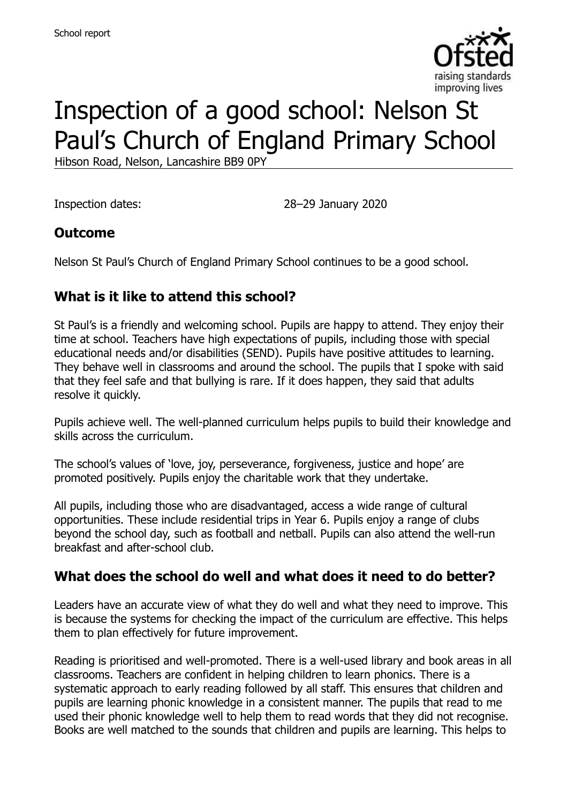

# Inspection of a good school: Nelson St Paul's Church of England Primary School

Hibson Road, Nelson, Lancashire BB9 0PY

Inspection dates: 28–29 January 2020

#### **Outcome**

Nelson St Paul's Church of England Primary School continues to be a good school.

### **What is it like to attend this school?**

St Paul's is a friendly and welcoming school. Pupils are happy to attend. They enjoy their time at school. Teachers have high expectations of pupils, including those with special educational needs and/or disabilities (SEND). Pupils have positive attitudes to learning. They behave well in classrooms and around the school. The pupils that I spoke with said that they feel safe and that bullying is rare. If it does happen, they said that adults resolve it quickly.

Pupils achieve well. The well-planned curriculum helps pupils to build their knowledge and skills across the curriculum.

The school's values of 'love, joy, perseverance, forgiveness, justice and hope' are promoted positively. Pupils enjoy the charitable work that they undertake.

All pupils, including those who are disadvantaged, access a wide range of cultural opportunities. These include residential trips in Year 6. Pupils enjoy a range of clubs beyond the school day, such as football and netball. Pupils can also attend the well-run breakfast and after-school club.

#### **What does the school do well and what does it need to do better?**

Leaders have an accurate view of what they do well and what they need to improve. This is because the systems for checking the impact of the curriculum are effective. This helps them to plan effectively for future improvement.

Reading is prioritised and well-promoted. There is a well-used library and book areas in all classrooms. Teachers are confident in helping children to learn phonics. There is a systematic approach to early reading followed by all staff. This ensures that children and pupils are learning phonic knowledge in a consistent manner. The pupils that read to me used their phonic knowledge well to help them to read words that they did not recognise. Books are well matched to the sounds that children and pupils are learning. This helps to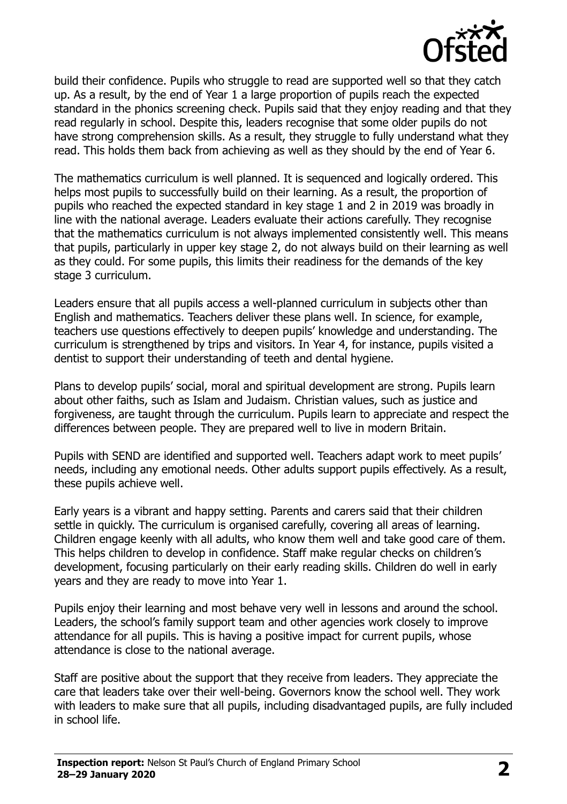

build their confidence. Pupils who struggle to read are supported well so that they catch up. As a result, by the end of Year 1 a large proportion of pupils reach the expected standard in the phonics screening check. Pupils said that they enjoy reading and that they read regularly in school. Despite this, leaders recognise that some older pupils do not have strong comprehension skills. As a result, they struggle to fully understand what they read. This holds them back from achieving as well as they should by the end of Year 6.

The mathematics curriculum is well planned. It is sequenced and logically ordered. This helps most pupils to successfully build on their learning. As a result, the proportion of pupils who reached the expected standard in key stage 1 and 2 in 2019 was broadly in line with the national average. Leaders evaluate their actions carefully. They recognise that the mathematics curriculum is not always implemented consistently well. This means that pupils, particularly in upper key stage 2, do not always build on their learning as well as they could. For some pupils, this limits their readiness for the demands of the key stage 3 curriculum.

Leaders ensure that all pupils access a well-planned curriculum in subjects other than English and mathematics. Teachers deliver these plans well. In science, for example, teachers use questions effectively to deepen pupils' knowledge and understanding. The curriculum is strengthened by trips and visitors. In Year 4, for instance, pupils visited a dentist to support their understanding of teeth and dental hygiene.

Plans to develop pupils' social, moral and spiritual development are strong. Pupils learn about other faiths, such as Islam and Judaism. Christian values, such as justice and forgiveness, are taught through the curriculum. Pupils learn to appreciate and respect the differences between people. They are prepared well to live in modern Britain.

Pupils with SEND are identified and supported well. Teachers adapt work to meet pupils' needs, including any emotional needs. Other adults support pupils effectively. As a result, these pupils achieve well.

Early years is a vibrant and happy setting. Parents and carers said that their children settle in quickly. The curriculum is organised carefully, covering all areas of learning. Children engage keenly with all adults, who know them well and take good care of them. This helps children to develop in confidence. Staff make regular checks on children's development, focusing particularly on their early reading skills. Children do well in early years and they are ready to move into Year 1.

Pupils enjoy their learning and most behave very well in lessons and around the school. Leaders, the school's family support team and other agencies work closely to improve attendance for all pupils. This is having a positive impact for current pupils, whose attendance is close to the national average.

Staff are positive about the support that they receive from leaders. They appreciate the care that leaders take over their well-being. Governors know the school well. They work with leaders to make sure that all pupils, including disadvantaged pupils, are fully included in school life.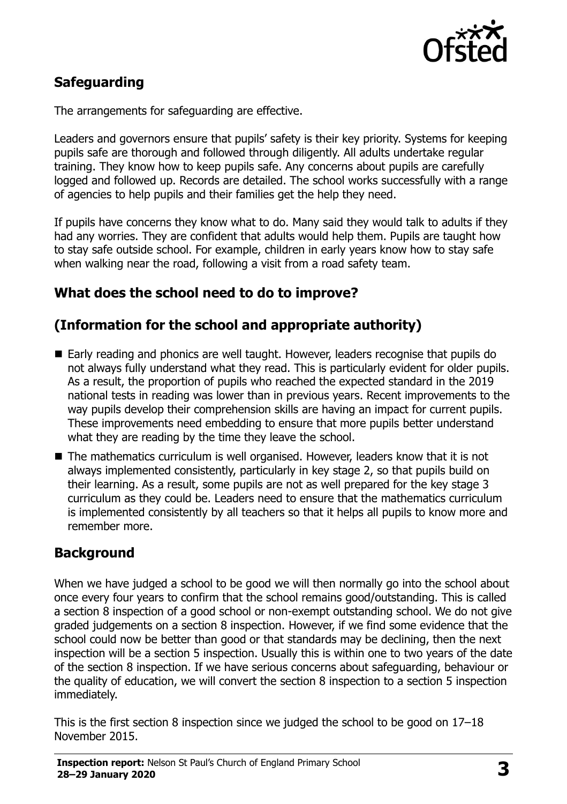

## **Safeguarding**

The arrangements for safeguarding are effective.

Leaders and governors ensure that pupils' safety is their key priority. Systems for keeping pupils safe are thorough and followed through diligently. All adults undertake regular training. They know how to keep pupils safe. Any concerns about pupils are carefully logged and followed up. Records are detailed. The school works successfully with a range of agencies to help pupils and their families get the help they need.

If pupils have concerns they know what to do. Many said they would talk to adults if they had any worries. They are confident that adults would help them. Pupils are taught how to stay safe outside school. For example, children in early years know how to stay safe when walking near the road, following a visit from a road safety team.

### **What does the school need to do to improve?**

### **(Information for the school and appropriate authority)**

- Early reading and phonics are well taught. However, leaders recognise that pupils do not always fully understand what they read. This is particularly evident for older pupils. As a result, the proportion of pupils who reached the expected standard in the 2019 national tests in reading was lower than in previous years. Recent improvements to the way pupils develop their comprehension skills are having an impact for current pupils. These improvements need embedding to ensure that more pupils better understand what they are reading by the time they leave the school.
- The mathematics curriculum is well organised. However, leaders know that it is not always implemented consistently, particularly in key stage 2, so that pupils build on their learning. As a result, some pupils are not as well prepared for the key stage 3 curriculum as they could be. Leaders need to ensure that the mathematics curriculum is implemented consistently by all teachers so that it helps all pupils to know more and remember more.

## **Background**

When we have judged a school to be good we will then normally go into the school about once every four years to confirm that the school remains good/outstanding. This is called a section 8 inspection of a good school or non-exempt outstanding school. We do not give graded judgements on a section 8 inspection. However, if we find some evidence that the school could now be better than good or that standards may be declining, then the next inspection will be a section 5 inspection. Usually this is within one to two years of the date of the section 8 inspection. If we have serious concerns about safeguarding, behaviour or the quality of education, we will convert the section 8 inspection to a section 5 inspection immediately.

This is the first section 8 inspection since we judged the school to be good on 17–18 November 2015.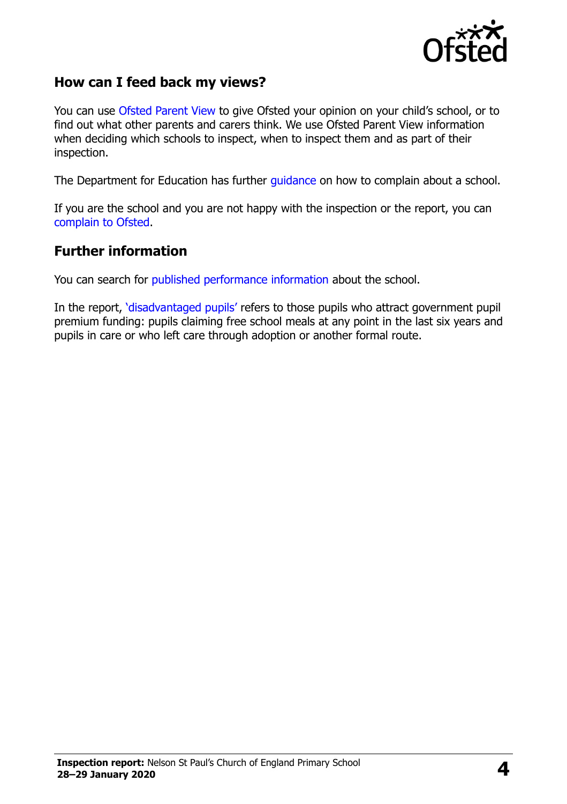

#### **How can I feed back my views?**

You can use [Ofsted Parent View](https://parentview.ofsted.gov.uk/) to give Ofsted your opinion on your child's school, or to find out what other parents and carers think. We use Ofsted Parent View information when deciding which schools to inspect, when to inspect them and as part of their inspection.

The Department for Education has further [guidance](http://www.gov.uk/complain-about-school) on how to complain about a school.

If you are the school and you are not happy with the inspection or the report, you can [complain to Ofsted.](https://www.gov.uk/complain-ofsted-report)

#### **Further information**

You can search for [published performance information](http://www.compare-school-performance.service.gov.uk/) about the school.

In the report, '[disadvantaged pupils](http://www.gov.uk/guidance/pupil-premium-information-for-schools-and-alternative-provision-settings)' refers to those pupils who attract government pupil premium funding: pupils claiming free school meals at any point in the last six years and pupils in care or who left care through adoption or another formal route.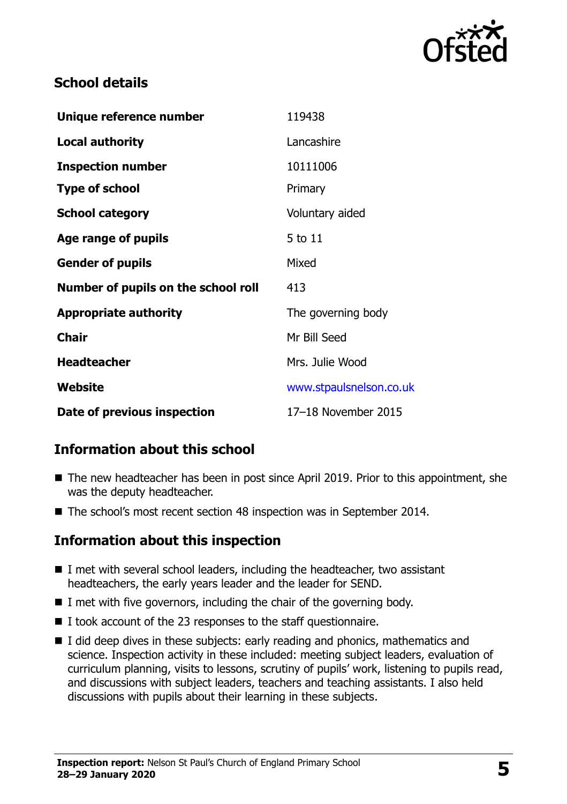

### **School details**

| Unique reference number             | 119438                  |
|-------------------------------------|-------------------------|
| <b>Local authority</b>              | Lancashire              |
| <b>Inspection number</b>            | 10111006                |
| <b>Type of school</b>               | Primary                 |
| <b>School category</b>              | Voluntary aided         |
| Age range of pupils                 | 5 to 11                 |
| <b>Gender of pupils</b>             | Mixed                   |
| Number of pupils on the school roll | 413                     |
| <b>Appropriate authority</b>        | The governing body      |
| <b>Chair</b>                        | Mr Bill Seed            |
| <b>Headteacher</b>                  | Mrs. Julie Wood         |
| Website                             | www.stpaulsnelson.co.uk |
| Date of previous inspection         | 17-18 November 2015     |

## **Information about this school**

- The new headteacher has been in post since April 2019. Prior to this appointment, she was the deputy headteacher.
- The school's most recent section 48 inspection was in September 2014.

## **Information about this inspection**

- I met with several school leaders, including the headteacher, two assistant headteachers, the early years leader and the leader for SEND.
- $\blacksquare$  I met with five governors, including the chair of the governing body.
- I took account of the 23 responses to the staff questionnaire.
- $\blacksquare$  I did deep dives in these subjects: early reading and phonics, mathematics and science. Inspection activity in these included: meeting subject leaders, evaluation of curriculum planning, visits to lessons, scrutiny of pupils' work, listening to pupils read, and discussions with subject leaders, teachers and teaching assistants. I also held discussions with pupils about their learning in these subjects.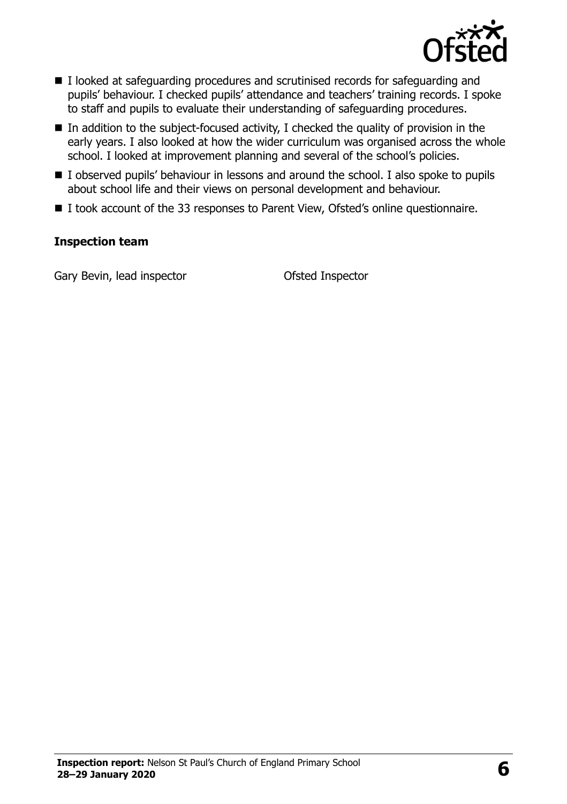

- I looked at safeguarding procedures and scrutinised records for safeguarding and pupils' behaviour. I checked pupils' attendance and teachers' training records. I spoke to staff and pupils to evaluate their understanding of safeguarding procedures.
- $\blacksquare$  In addition to the subject-focused activity, I checked the quality of provision in the early years. I also looked at how the wider curriculum was organised across the whole school. I looked at improvement planning and several of the school's policies.
- I observed pupils' behaviour in lessons and around the school. I also spoke to pupils about school life and their views on personal development and behaviour.
- I took account of the 33 responses to Parent View, Ofsted's online questionnaire.

#### **Inspection team**

Gary Bevin, lead inspector **Carry Beving Leading Server** Ofsted Inspector